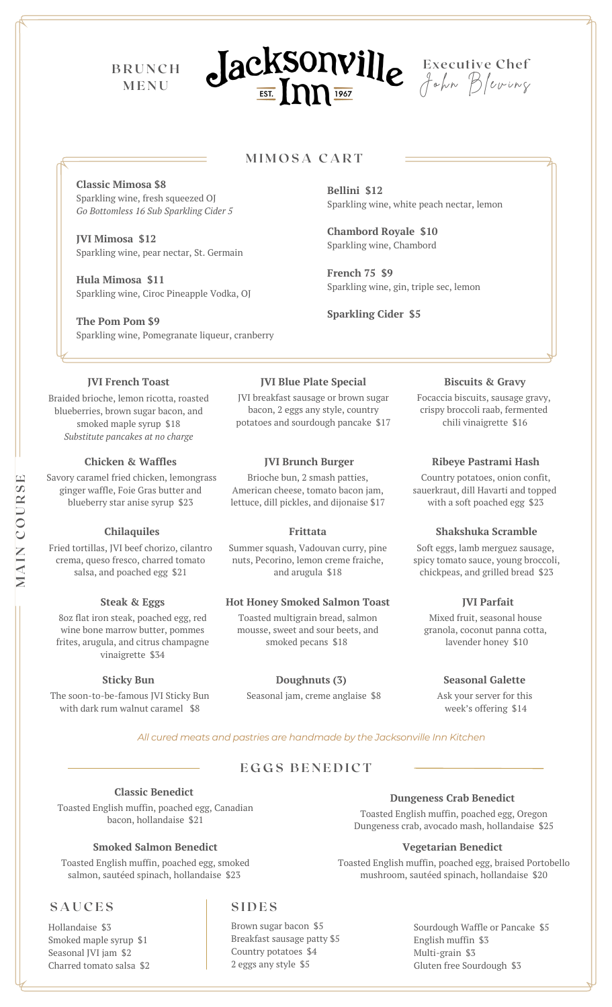**B R U N C H M E N U**





# **M I M O S A C A R T**

**Classic Mimosa \$8** Sparkling wine, fresh squeezed OJ *Go Bottomless 16 Sub Sparkling Cider 5*

**JVI Mimosa \$12** Sparkling wine, pear nectar, St. Germain

**Hula Mimosa \$11** Sparkling wine, Ciroc Pineapple Vodka, OJ

**The Pom Pom \$9** Sparkling wine, Pomegranate liqueur, cranberry

**JVI French Toast**

Braided brioche, lemon ricotta, roasted blueberries, brown sugar bacon, and smoked maple syrup \$18 *Substitute pancakes at no charge*

## **Chicken & Waffles**

Savory caramel fried chicken, lemongrass ginger waffle, Foie Gras butter and blueberry star anise syrup \$23

## **Chilaquiles**

Fried tortillas, JVI beef chorizo, cilantro crema, queso fresco, charred tomato salsa, and poached egg \$21

### **Steak & Eggs**

8oz flat iron steak, poached egg, red wine bone marrow butter, pommes frites, arugula, and citrus champagne vinaigrette \$34

## **Sticky Bun**

The soon-to-be-famous JVI Sticky Bun with dark rum walnut caramel \$8

Sparkling wine, white peach nectar, lemon

**Chambord Royale \$10** Sparkling wine, Chambord

**Bellini \$12**

**French 75 \$9** Sparkling wine, gin, triple sec, lemon

**Sparkling Cider \$5**

#### **JVI Blue Plate Special**

JVI breakfast sausage or brown sugar bacon, 2 eggs any style, country potatoes and sourdough pancake \$17

## **JVI Brunch Burger**

Brioche bun, 2 smash patties, American cheese, tomato bacon jam, lettuce, dill pickles, and dijonaise \$17

**Frittata**

Summer squash, Vadouvan curry, pine nuts, Pecorino, lemon creme fraiche, and arugula \$18

# **Hot Honey Smoked Salmon Toast**

Toasted multigrain bread, salmon mousse, sweet and sour beets, and smoked pecans \$18

**Doughnuts (3)** Seasonal jam, creme anglaise \$8

#### **Biscuits & Gravy**

Focaccia biscuits, sausage gravy, crispy broccoli raab, fermented chili vinaigrette \$16

## **Ribeye Pastrami Hash**

Country potatoes, onion confit, sauerkraut, dill Havarti and topped with a soft poached egg \$23

#### **Shakshuka Scramble**

Soft eggs, lamb merguez sausage, spicy tomato sauce, young broccoli, chickpeas, and grilled bread \$23

# **JVI Parfait**

Mixed fruit, seasonal house granola, coconut panna cotta, lavender honey \$10

#### **Seasonal Galette**

Ask your server for this week's offering \$14

*All cured meats and pastries are handmade by the Jacksonville Inn Kitchen*

# $EGGS$  **BENEDICT**

**Classic Benedict** Toasted English muffin, poached egg, Canadian bacon, hollandaise \$21

# **Smoked Salmon Benedict**

Toasted English muffin, poached egg, smoked salmon, sautéed spinach, hollandaise \$23

# **S A U C E S S I D E S**

Hollandaise \$3 Smoked maple syrup \$1 Seasonal JVI jam \$2 Charred tomato salsa \$2

Brown sugar bacon \$5 Breakfast sausage patty \$5 Country potatoes \$4 2 eggs any style \$5

# **Dungeness Crab Benedict**

Toasted English muffin, poached egg, Oregon Dungeness crab, avocado mash, hollandaise \$25

## **Vegetarian Benedict**

Toasted English muffin, poached egg, braised Portobello mushroom, sautéed spinach, hollandaise \$20

> Sourdough Waffle or Pancake \$5 English muffin \$3 Multi-grain \$3 Gluten free Sourdough \$3

**SE**